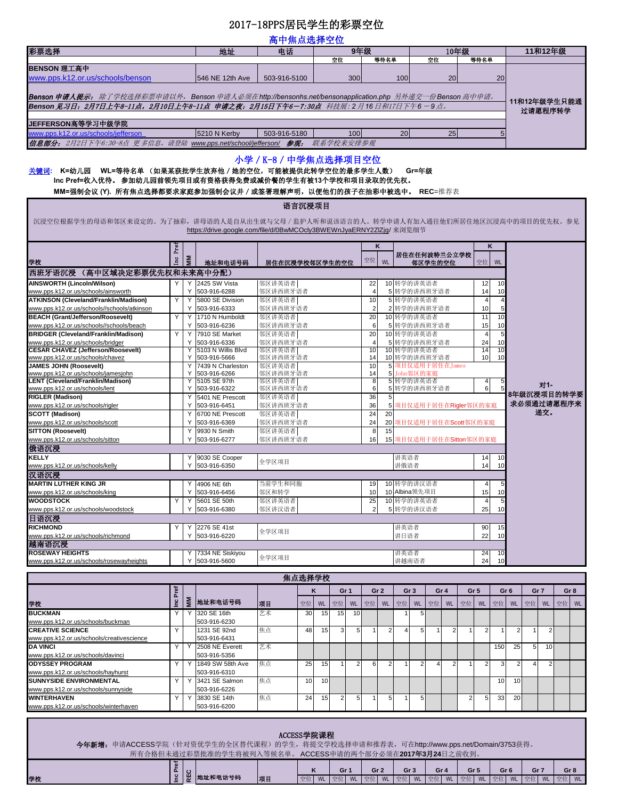## 2017-18PPS居民学生的彩票空位

| 高中焦点选择空位                                                                                                                                                                                 |                                                |              |                                                                     |                    |        |    |     |           |                      |                 |                         |                 |                         |                      |                |            |                 |    |            |                 |  |  |  |  |
|------------------------------------------------------------------------------------------------------------------------------------------------------------------------------------------|------------------------------------------------|--------------|---------------------------------------------------------------------|--------------------|--------|----|-----|-----------|----------------------|-----------------|-------------------------|-----------------|-------------------------|----------------------|----------------|------------|-----------------|----|------------|-----------------|--|--|--|--|
| 彩票选择                                                                                                                                                                                     |                                                |              |                                                                     | 9年级<br>地址<br>电话    |        |    |     |           |                      |                 |                         |                 |                         | 10年级                 | 等待名单           |            |                 |    | 11和12年级    |                 |  |  |  |  |
| BENSON 理工高中                                                                                                                                                                              |                                                |              |                                                                     | 空位                 |        |    |     |           |                      | 等待名单            |                         | 空位              |                         |                      |                |            |                 |    |            |                 |  |  |  |  |
| www.pps.k12.or.us/schools/benson                                                                                                                                                         |                                                |              | 546 NE 12th Ave                                                     | 503-916-5100       |        |    |     | 300       |                      |                 | 100                     |                 | 20                      |                      |                | 20         |                 |    |            |                 |  |  |  |  |
|                                                                                                                                                                                          |                                                |              |                                                                     |                    |        |    |     |           |                      |                 |                         |                 |                         |                      |                |            |                 |    |            |                 |  |  |  |  |
| Benson 申请人提示: 除了学校选择彩票申请以外,Benson 申请人必须在http://bensonhs.net/bensonapplication.php 另外递交一份Benson 高中申请。<br>Benson 见习日: 2月7日上午8-11点, 2月10日上午8-11点 申请之夜: 2月15日下午6-7:30点 科技展: 2月16日和17日下午6-9点。 |                                                |              |                                                                     |                    |        |    |     |           |                      |                 |                         |                 |                         |                      |                |            | 11和12年级学生只能通    |    |            |                 |  |  |  |  |
|                                                                                                                                                                                          |                                                |              |                                                                     |                    |        |    |     |           |                      |                 |                         |                 |                         |                      |                |            | 过请愿程序转学         |    |            |                 |  |  |  |  |
| JEFFERSON高等学习中级学院                                                                                                                                                                        |                                                |              |                                                                     |                    |        |    |     |           |                      |                 |                         |                 |                         |                      |                |            |                 |    |            |                 |  |  |  |  |
| www.pps.k12.or.us/schools/jefferson                                                                                                                                                      |                                                | 5210 N Kerby | 503-916-5180                                                        |                    |        |    | 100 |           |                      | 20              |                         | 25              |                         |                      | 5              |            |                 |    |            |                 |  |  |  |  |
| 信息部分: 2月2日下午6:30-8点 更多信息,请登陆 www.pps.net/school/jefferson/ 参观:                                                                                                                           |                                                |              |                                                                     |                    |        |    |     | 联系学校来安排参观 |                      |                 |                         |                 |                         |                      |                |            |                 |    |            |                 |  |  |  |  |
| 小学 / K-8 / 中学焦点选择项目空位                                                                                                                                                                    |                                                |              |                                                                     |                    |        |    |     |           |                      |                 |                         |                 |                         |                      |                |            |                 |    |            |                 |  |  |  |  |
| 关键词: K=幼儿园 WL=等待名单 (如果某获批学生放弃他 / 她的空位,可能被提供此转学空位的最多学生人数)                                                                                                                                 |                                                |              |                                                                     |                    |        |    |     |           |                      |                 |                         | Gr=年级           |                         |                      |                |            |                 |    |            |                 |  |  |  |  |
| Inc Pref=收入优待。参加幼儿园前领先项目或有资格获得免费或减价餐的学生有被13个学校和项目录取的优先权。                                                                                                                                 |                                                |              |                                                                     |                    |        |    |     |           |                      |                 |                         |                 |                         |                      |                |            |                 |    |            |                 |  |  |  |  |
| MM=强制会议(Y). 所有焦点选择都要求家庭参加强制会议并 / 或签署理解声明, 以便他们的孩子在抽彩中被选中。                                                                                                                                |                                                |              |                                                                     |                    |        |    |     |           |                      |                 |                         |                 | REC=推荐表                 |                      |                |            |                 |    |            |                 |  |  |  |  |
|                                                                                                                                                                                          |                                                |              |                                                                     |                    | 语言沉浸项目 |    |     |           |                      |                 |                         |                 |                         |                      |                |            |                 |    |            |                 |  |  |  |  |
|                                                                                                                                                                                          |                                                |              |                                                                     |                    |        |    |     |           |                      |                 |                         |                 |                         |                      |                |            |                 |    |            |                 |  |  |  |  |
| 沉浸空位根据学生的母语和邻区来设定的。为了抽彩,讲母语的人是自从出生就与父母/监护人听和说该语言的人。转学申请人有加入通往他们所居住地区沉浸高中的项目的优先权。参见                                                                                                       |                                                |              |                                                                     |                    |        |    |     |           |                      |                 |                         |                 |                         |                      |                |            |                 |    |            |                 |  |  |  |  |
|                                                                                                                                                                                          |                                                |              | https://drive.google.com/file/d/0BwMCOcly3BWEWnJyaERNY2ZlZjg/ 来浏览细节 |                    |        |    |     |           |                      |                 |                         |                 |                         |                      |                |            |                 |    |            |                 |  |  |  |  |
|                                                                                                                                                                                          | È                                              |              |                                                                     |                    |        |    |     |           |                      | K               |                         |                 |                         |                      |                | Κ          |                 |    |            |                 |  |  |  |  |
| 学校                                                                                                                                                                                       | ă                                              | Š            | 地址和电话号码                                                             |                    |        |    |     |           | 空位                   | <b>WL</b>       |                         |                 | 居住在任何波特兰公立学校            |                      | 空位             | <b>WL</b>  |                 |    |            |                 |  |  |  |  |
| 西班牙语沉浸 (高中区域决定彩票优先权和未来高中分配)                                                                                                                                                              |                                                |              |                                                                     | 居住在沉浸学校邻区学生的空位     |        |    |     |           |                      |                 |                         |                 | 邻区学生的空位                 |                      |                |            |                 |    |            |                 |  |  |  |  |
| <b>AINSWORTH (Lincoln/Wilson)</b>                                                                                                                                                        | Y                                              | Y            | 2425 SW Vista                                                       | 邻区讲英语者             |        |    |     |           |                      |                 | 10 转学的讲英语者              |                 |                         |                      |                | 10         |                 |    |            |                 |  |  |  |  |
| www.pps.k12.or.us/schools/ainsworth                                                                                                                                                      |                                                | Υ            | 503-916-6288                                                        | 邻区讲西班牙语者           |        |    |     |           | 22<br>$\overline{4}$ |                 |                         |                 | 5 转学的讲西班牙语者             |                      | 12<br>14       | 10         |                 |    |            |                 |  |  |  |  |
| ATKINSON (Cleveland/Franklin/Madison)                                                                                                                                                    | Y                                              | Y            | 5800 SE Division                                                    | 邻区讲英语者             |        |    |     |           | 10                   |                 | 5 转学的讲英语者               |                 |                         |                      | $\overline{4}$ | $\sqrt{4}$ |                 |    |            |                 |  |  |  |  |
| www.pps.k12.or.us/schools//schools/atkinson                                                                                                                                              |                                                | Υ            | 503-916-6333                                                        | 邻区讲西班牙语者           |        |    |     |           | $\overline{2}$       |                 |                         |                 | 2 转学的讲西班牙语者             |                      | 10             | 5          |                 |    |            |                 |  |  |  |  |
| <b>BEACH (Grant/Jefferson/Roosevelt)</b>                                                                                                                                                 | Y                                              | Υ            | 1710 N Humboldt                                                     | 邻区讲英语者             |        |    |     |           | 20                   |                 | 10 转学的讲英语者              |                 |                         |                      | 11             | 10         |                 |    |            |                 |  |  |  |  |
| www.pps.k12.or.us/schools//schools/beach<br><b>BRIDGER (Cleveland/Franklin/Madison)</b>                                                                                                  | Y                                              | Υ            | 503-916-6236<br>7910 SE Market                                      | 邻区讲西班牙语者           |        |    |     |           | 6<br>20              |                 |                         |                 | 5 转学的讲西班牙语者             |                      | 15             | 10<br>5    |                 |    |            |                 |  |  |  |  |
| www.pps.k12.or.us/schools/bridger                                                                                                                                                        |                                                | Υ<br>Υ       | 503-916-6336                                                        | 邻区讲英语者<br>邻区讲西班牙语者 |        |    |     | 4         | 5                    | 10 转学的讲英语者      |                         | 转学的讲西班牙语者       |                         | $\overline{4}$<br>24 | 10             |            |                 |    |            |                 |  |  |  |  |
| <b>CESAR CHAVEZ (Jefferson/Roosevelt)</b>                                                                                                                                                |                                                | Υ            | 5103 N Willis Blvd                                                  | 邻区讲英语者             |        |    | 10  |           | 10 转学的讲英语者           |                 |                         |                 | 14                      | 10                   |                |            |                 |    |            |                 |  |  |  |  |
| www.pps.k12.or.us/schools/chavez                                                                                                                                                         |                                                | Υ            | 503-916-5666                                                        | 邻区讲西班牙语者           |        |    |     |           | 14                   |                 |                         |                 | 10 转学的讲西班牙语者            | 10                   | 10             |            |                 |    |            |                 |  |  |  |  |
| <b>JAMES JOHN (Roosevelt)</b><br>www.pps.k12.or.us/schools/jamesjohn                                                                                                                     |                                                | Υ<br>Υ       | 7439 N Charleston<br>503-916-6266                                   | 邻区讲英语者<br>邻区讲西班牙语者 |        |    |     |           | 10<br>14             |                 | 5 John邻区的家庭             |                 | 5 项目仅适用于居住在James        |                      |                |            |                 |    |            |                 |  |  |  |  |
| <b>LENT (Cleveland/Franklin/Madison)</b>                                                                                                                                                 |                                                | Υ            | 5105 SE 97th                                                        | 邻区讲英语者             |        |    |     |           | 8                    |                 | 5 转学的讲英语者               |                 |                         |                      | $\overline{a}$ |            |                 |    | 对1-        |                 |  |  |  |  |
| www.pps.k12.or.us/schools/lent                                                                                                                                                           |                                                | Υ            | 503-916-6322                                                        | 邻区讲西班牙语者           |        |    |     |           | 6                    |                 |                         |                 | 5 转学的讲西班牙语者             |                      | 6              |            |                 |    |            | 8年级沉浸项目的转学要     |  |  |  |  |
| <b>RIGLER (Madison)</b><br>www.pps.k12.or.us/schools/rigler                                                                                                                              |                                                | Υ<br>Υ       | 5401 NE Prescott<br>503-916-6451                                    | 邻区讲英语者<br>邻区讲西班牙语者 |        |    |     |           | 36<br>36             | $\sqrt{5}$<br>5 |                         |                 | 项目仅适用于居住在Rigler邻区的家庭    |                      |                |            |                 |    | 求必须通过请愿程序来 |                 |  |  |  |  |
| <b>SCOTT (Madison)</b>                                                                                                                                                                   |                                                | Υ            | 6700 NE Prescott                                                    | 邻区讲英语者             |        |    |     |           | 24                   | 20              |                         |                 |                         |                      |                |            | 递交。             |    |            |                 |  |  |  |  |
| www.pps.k12.or.us/schools/scott                                                                                                                                                          |                                                | Υ            | 503-916-6369                                                        | 邻区讲西班牙语者           |        |    |     |           | 24                   | 20              |                         |                 | 项目仅适用于居住在Scott邻区的家庭     |                      |                |            |                 |    |            |                 |  |  |  |  |
| <b>SITTON (Roosevelt)</b>                                                                                                                                                                |                                                | Υ            | 9930 N Smith                                                        | 邻区讲英语者             |        |    |     |           | 8                    | 15              |                         |                 |                         |                      |                |            |                 |    |            |                 |  |  |  |  |
| www.pps.k12.or.us/schools/sitton                                                                                                                                                         |                                                |              | 503-916-6277                                                        | 邻区讲西班牙语者           |        |    |     |           | 16                   |                 |                         |                 | 15 项目仅适用于居住在Sitton邻区的家庭 |                      |                |            |                 |    |            |                 |  |  |  |  |
| 俄语沉浸<br><b>KELLY</b>                                                                                                                                                                     |                                                |              | 9030 SE Cooper                                                      |                    |        |    |     |           |                      |                 | 讲英语者                    |                 |                         |                      | 14             | 10         |                 |    |            |                 |  |  |  |  |
| www.pps.k12.or.us/schools/kelly                                                                                                                                                          |                                                | Y            | 503-916-6350                                                        | 全学区项目              |        |    |     |           |                      |                 | 讲俄语者                    |                 |                         |                      | 14             | 10         |                 |    |            |                 |  |  |  |  |
| 汉语沉浸                                                                                                                                                                                     |                                                |              |                                                                     |                    |        |    |     |           |                      |                 |                         |                 |                         |                      |                |            |                 |    |            |                 |  |  |  |  |
| <b>MARTIN LUTHER KING JR</b>                                                                                                                                                             |                                                |              | 4906 NE 6th                                                         | 当前学生和同胞            |        |    |     |           | 19                   |                 | 10 转学的讲汉语者              |                 |                         |                      |                |            |                 |    |            |                 |  |  |  |  |
| www.pps.k12.or.us/schools/king                                                                                                                                                           |                                                | Y            | 503-916-6456                                                        | 邻区和转学              |        |    |     |           | 10                   |                 | 10 Albina领先项目           |                 |                         |                      | 15             | 10         |                 |    |            |                 |  |  |  |  |
| <b>WOODSTOCK</b><br>www.pps.k12.or.us/schools/woodstock                                                                                                                                  | Y                                              | Y            | 5601 SE 50th                                                        | 邻区讲英语者             |        |    |     |           | 25<br>$\overline{2}$ |                 | 10 转学的讲英语者<br>5 转学的讲汉语者 |                 |                         | $\overline{a}$<br>25 | 10             |            |                 |    |            |                 |  |  |  |  |
| 日语沉浸                                                                                                                                                                                     | Υ<br>503-916-6380<br>邻区讲汉语者                    |              |                                                                     |                    |        |    |     |           |                      |                 |                         |                 |                         |                      |                |            |                 |    |            |                 |  |  |  |  |
| <b>RICHMOND</b>                                                                                                                                                                          | Υ                                              |              | Y 2276 SE 41st                                                      |                    |        |    |     |           |                      |                 | 讲英语者                    |                 |                         |                      | 90             | 15         |                 |    |            |                 |  |  |  |  |
| www.pps.k12.or.us/schools/richmond                                                                                                                                                       |                                                | Y            | 503-916-6220                                                        | 全学区项目              |        |    |     |           |                      |                 | 讲日语者                    |                 |                         |                      | 22             | 10         |                 |    |            |                 |  |  |  |  |
| 越南语沉浸                                                                                                                                                                                    |                                                |              |                                                                     |                    |        |    |     |           |                      |                 |                         |                 |                         |                      |                |            |                 |    |            |                 |  |  |  |  |
| <b>ROSEWAY HEIGHTS</b><br>www.pps.k12.or.us/schools/rosewayheights                                                                                                                       | 7334 NE Siskiyou<br>全学区项目<br>Υ<br>503-916-5600 |              |                                                                     |                    |        |    |     | 讲英语者      | 讲越南语者                |                 |                         | 24<br>24        | 10<br>10                |                      |                |            |                 |    |            |                 |  |  |  |  |
|                                                                                                                                                                                          |                                                |              |                                                                     |                    |        |    |     |           |                      |                 |                         |                 |                         |                      |                |            |                 |    |            |                 |  |  |  |  |
|                                                                                                                                                                                          |                                                |              |                                                                     |                    | 焦点选择学校 |    |     |           |                      |                 |                         |                 |                         |                      |                |            |                 |    |            |                 |  |  |  |  |
|                                                                                                                                                                                          | Pref                                           |              |                                                                     |                    |        | κ  |     | Gr 1      |                      | Gr <sub>2</sub> |                         | Gr <sub>3</sub> | Gr <sub>4</sub>         | Gr <sub>5</sub>      |                |            | Gr <sub>6</sub> |    | Gr 7       | Gr <sub>8</sub> |  |  |  |  |
| 学校                                                                                                                                                                                       | ۴Ğ                                             | MM           | 地址和电话号码                                                             | 项目                 | 空位     | WL | 空位  | WL        | 空位                   | WL              | 空位                      | WL              | 空位<br>WL                | 空位                   | WL             | 空位         | WL              | 空位 | WL         | 空位 WL           |  |  |  |  |
| <b>BUCKMAN</b>                                                                                                                                                                           | Υ                                              | Υ            | 320 SE 16th                                                         | 艺术                 | 30     | 15 |     | 15<br>10  |                      |                 |                         | 5               |                         |                      |                |            |                 |    |            |                 |  |  |  |  |
| www.pps.k12.or.us/schools/buckman                                                                                                                                                        |                                                |              | 503-916-6230                                                        |                    |        |    |     |           |                      |                 |                         |                 |                         |                      |                |            |                 |    |            |                 |  |  |  |  |
| ODEATIVE OCIENCE                                                                                                                                                                         |                                                |              | 10010500                                                            |                    |        |    |     |           |                      |                 |                         |                 |                         |                      |                |            |                 |    |            |                 |  |  |  |  |

| www.pps.k12.or.us/schools/buckman         |  | 503-916-6230     |    |                 |                 |  |    |  |  |  |                 |                 |   |                 |  |
|-------------------------------------------|--|------------------|----|-----------------|-----------------|--|----|--|--|--|-----------------|-----------------|---|-----------------|--|
| <b>CREATIVE SCIENCE</b>                   |  | 1231 SE 92nd     | 焦点 | 48              | 15              |  |    |  |  |  |                 |                 |   |                 |  |
| www.pps.k12.or.us/schools/creativescience |  | 503-916-6431     |    |                 |                 |  |    |  |  |  |                 |                 |   |                 |  |
| <b>DA VINCI</b>                           |  | 2508 NE Everett  | 艺术 |                 |                 |  |    |  |  |  | 150             | 25              | 5 | 10 <sup>1</sup> |  |
| www.pps.k12.or.us/schools/davinci         |  | 503-916-5356     |    |                 |                 |  |    |  |  |  |                 |                 |   |                 |  |
| <b>ODYSSEY PROGRAM</b>                    |  | 1849 SW 58th Ave | 焦点 | 25              | 15 <sub>1</sub> |  | 6I |  |  |  |                 |                 |   |                 |  |
| www.pps.k12.or.us/schools/hayhurst        |  | 503-916-6310     |    |                 |                 |  |    |  |  |  |                 |                 |   |                 |  |
| <b>ISUNNYSIDE ENVIRONMENTAL</b>           |  | 3421 SE Salmon   | 焦点 | 10 <sup>1</sup> | 10 <sup>1</sup> |  |    |  |  |  | 10 <sub>1</sub> | 10 <sup>1</sup> |   |                 |  |
| www.pps.k12.or.us/schools/sunnyside       |  | 503-916-6226     |    |                 |                 |  |    |  |  |  |                 |                 |   |                 |  |
| <b>IWINTERHAVEN</b>                       |  | 3830 SE 14th     | 焦点 | 24              | 15 <sub>1</sub> |  |    |  |  |  | 33              | 20              |   |                 |  |
| www.pps.k12.or.us/schools/winterhaven     |  | 503-916-6200     |    |                 |                 |  |    |  |  |  |                 |                 |   |                 |  |

## $\frac{a}{2}$  | 일 | 32 | 地址和电话号码 | 对目 | 조선 | WL 空位 | WL 空位 | WL 空位 | WL 空位 | WL 空位 | WL 空位 | WL 空位 | WL 空位 | WL 空位 | WL 空位 | WL 空位 | WL **Gr 7 Gr 8** ACCESS学院课程 今年新增:申请ACCESS学院(针对资优学生的全区替代课程)的学生,将提交学校选择申请和推荐表,可在http://www.pps.net/Domain/3753获得。 所有合格但未通过彩票批准的学生将被列入等候名单。 ACCESS申请的两个部分必须在**2017**年**3**月**24**日之前收到。 - Fe<br>| C<br>| C | 地址和电话号码